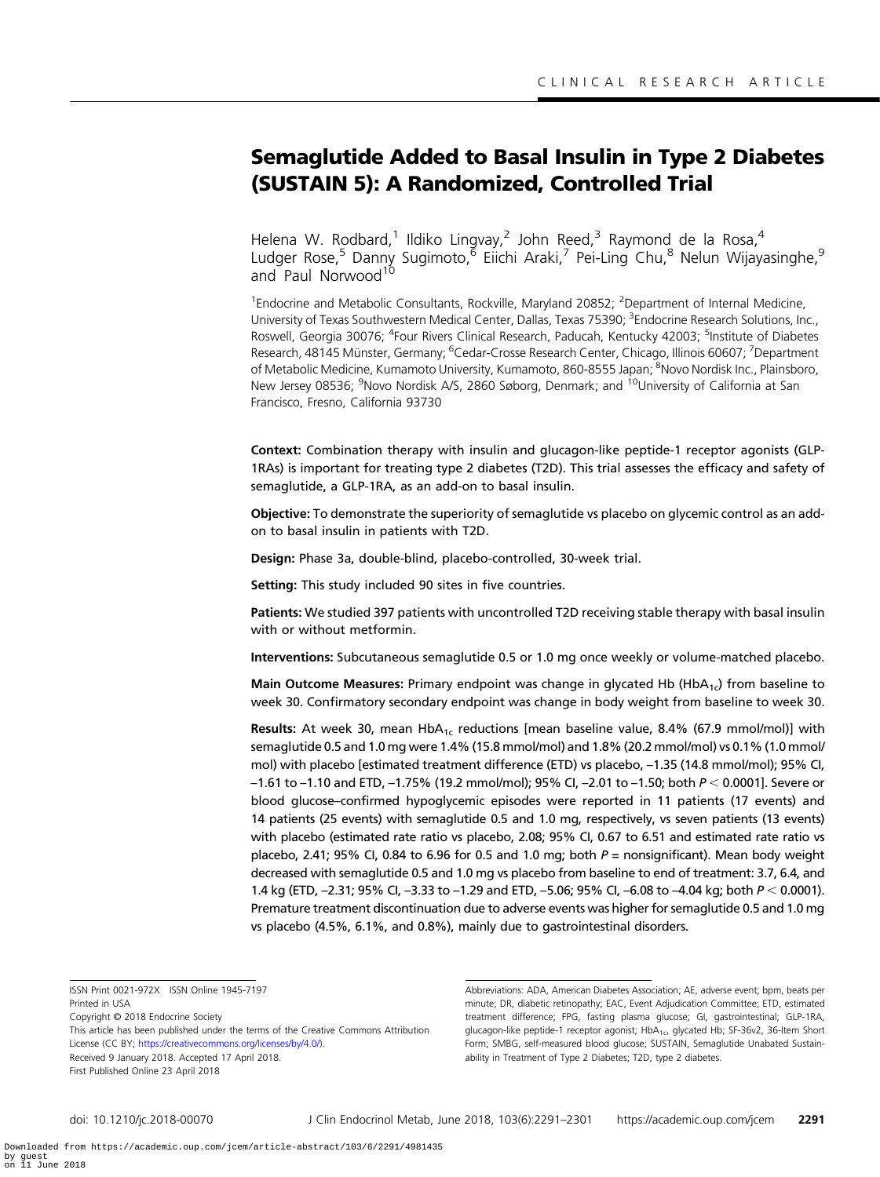# Semaglutide Added to Basal Insulin in Type 2 Diabetes (SUSTAIN 5): A Randomized, Controlled Trial

Helena W. Rodbard,<sup>1</sup> Ildiko Lingvay,<sup>2</sup> John Reed,<sup>3</sup> Raymond de la Rosa,<sup>4</sup> Ludger Rose,<sup>5</sup> Danny Sugimoto,<sup>6</sup> Eiichi Araki,<sup>7</sup> Pei-Ling Chu,<sup>8</sup> Nelun Wijayasinghe,<sup>9</sup> and Paul Norwood<sup>10</sup>

<sup>1</sup>Endocrine and Metabolic Consultants, Rockville, Maryland 20852; <sup>2</sup>Department of Internal Medicine, University of Texas Southwestern Medical Center, Dallas, Texas 75390; <sup>3</sup>Endocrine Research Solutions, Inc., Roswell, Georgia 30076; <sup>4</sup>Four Rivers Clinical Research, Paducah, Kentucky 42003; <sup>5</sup>Institute of Diabetes Research, 48145 Münster, Germany; <sup>6</sup>Cedar-Crosse Research Center, Chicago, Illinois 60607; <sup>7</sup>Department of Metabolic Medicine, Kumamoto University, Kumamoto, 860-8555 Japan; <sup>8</sup>Novo Nordisk Inc., Plainsboro, New Jersey 08536; <sup>9</sup>Novo Nordisk A/S, 2860 Søborg, Denmark; and <sup>10</sup>University of California at San Francisco, Fresno, California 93730

Context: Combination therapy with insulin and glucagon-like peptide-1 receptor agonists (GLP-1RAs) is important for treating type 2 diabetes (T2D). This trial assesses the efficacy and safety of semaglutide, a GLP-1RA, as an add-on to basal insulin.

Objective: To demonstrate the superiority of semaglutide vs placebo on glycemic control as an addon to basal insulin in patients with T2D.

Design: Phase 3a, double-blind, placebo-controlled, 30-week trial.

Setting: This study included 90 sites in five countries.

Patients: We studied 397 patients with uncontrolled T2D receiving stable therapy with basal insulin with or without metformin.

Interventions: Subcutaneous semaglutide 0.5 or 1.0 mg once weekly or volume-matched placebo.

Main Outcome Measures: Primary endpoint was change in glycated Hb (HbA $_{1c}$ ) from baseline to week 30. Confirmatory secondary endpoint was change in body weight from baseline to week 30.

**Results:** At week 30, mean HbA<sub>1c</sub> reductions [mean baseline value, 8.4% (67.9 mmol/mol)] with semaglutide 0.5 and 1.0 mg were 1.4% (15.8 mmol/mol) and 1.8% (20.2 mmol/mol) vs 0.1% (1.0 mmol/ mol) with placebo [estimated treatment difference (ETD) vs placebo, –1.35 (14.8 mmol/mol); 95% CI,  $-1.61$  to  $-1.10$  and ETD,  $-1.75%$  (19.2 mmol/mol); 95% CI,  $-2.01$  to  $-1.50$ ; both  $P < 0.0001$ ]. Severe or blood glucose–confirmed hypoglycemic episodes were reported in 11 patients (17 events) and 14 patients (25 events) with semaglutide 0.5 and 1.0 mg, respectively, vs seven patients (13 events) with placebo (estimated rate ratio vs placebo, 2.08; 95% CI, 0.67 to 6.51 and estimated rate ratio vs placebo, 2.41; 95% CI, 0.84 to 6.96 for 0.5 and 1.0 mg; both  $P =$  nonsignificant). Mean body weight decreased with semaglutide 0.5 and 1.0 mg vs placebo from baseline to end of treatment: 3.7, 6.4, and 1.4 kg (ETD, -2.31; 95% CI, -3.33 to -1.29 and ETD, -5.06; 95% CI, -6.08 to -4.04 kg; both  $P < 0.0001$ ). Premature treatment discontinuation due to adverse events was higher for semaglutide 0.5 and 1.0 mg vs placebo (4.5%, 6.1%, and 0.8%), mainly due to gastrointestinal disorders.

ISSN Print 0021-972X ISSN Online 1945-7197 Printed in USA

Copyright © 2018 Endocrine Society

This article has been published under the terms of the Creative Commons Attribution License (CC BY; [https://creativecommons.org/licenses/by/4.0/\)](https://creativecommons.org/licenses/by/4.0/). Received 9 January 2018. Accepted 17 April 2018. First Published Online 23 April 2018

Abbreviations: ADA, American Diabetes Association; AE, adverse event; bpm, beats per minute; DR, diabetic retinopathy; EAC, Event Adjudication Committee; ETD, estimated treatment difference; FPG, fasting plasma glucose; GI, gastrointestinal; GLP-1RA, glucagon-like peptide-1 receptor agonist; HbA<sub>1c</sub>, glycated Hb; SF-36v2, 36-Item Short Form; SMBG, self-measured blood glucose; SUSTAIN, Semaglutide Unabated Sustainability in Treatment of Type 2 Diabetes; T2D, type 2 diabetes.

doi: [10.1210/jc.2018-00070](http://dx.doi.org/10.1210/jc.2018-00070) J Clin Endocrinol Metab, June 2018, 103(6):2291–2301<https://academic.oup.com/jcem> 2291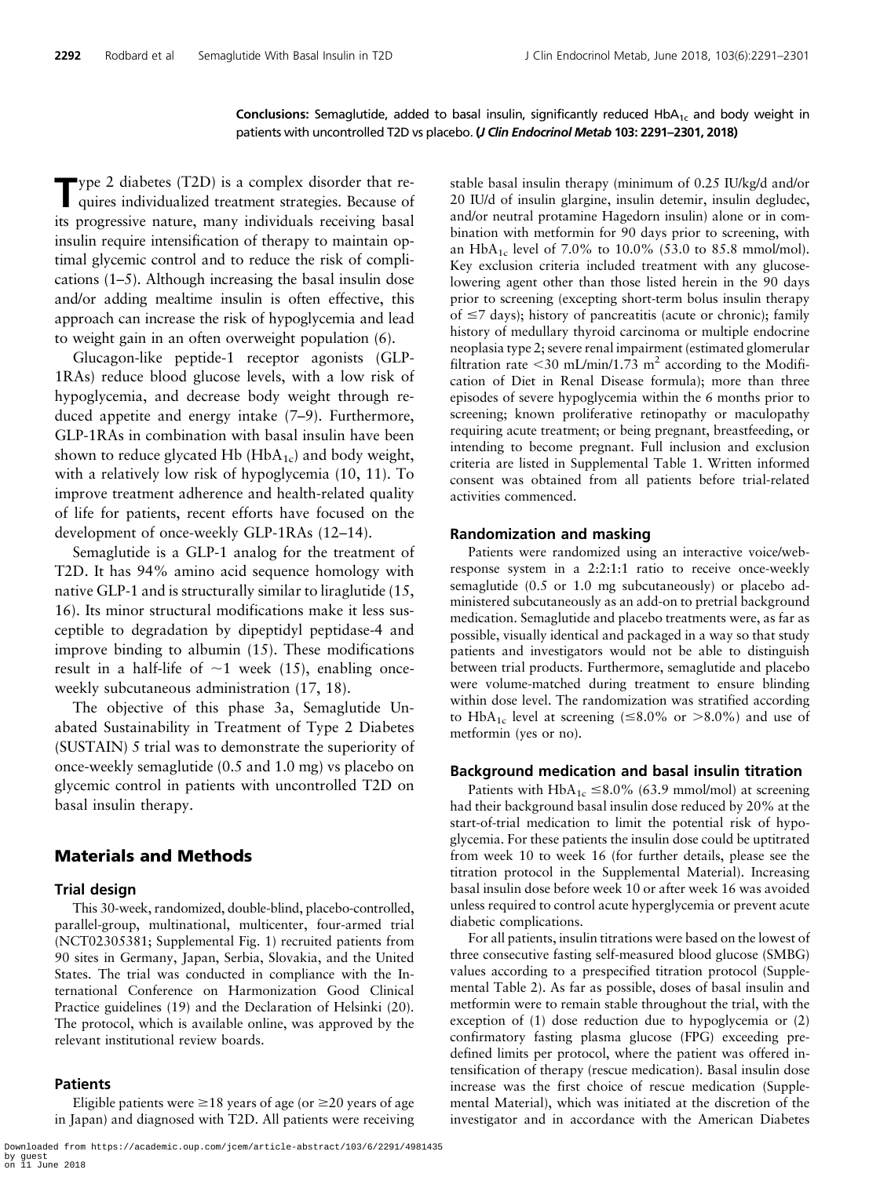#### **Conclusions:** Semaglutide, added to basal insulin, significantly reduced  $HDA_{1c}$  and body weight in patients with uncontrolled T2D vs placebo. (J Clin Endocrinol Metab 103: 2291–2301, 2018)

Type 2 diabetes (T2D) is a complex disorder that re-quires individualized treatment strategies. Because of its progressive nature, many individuals receiving basal insulin require intensification of therapy to maintain optimal glycemic control and to reduce the risk of complications [\(1](#page-9-0)–[5](#page-9-0)). Although increasing the basal insulin dose and/or adding mealtime insulin is often effective, this approach can increase the risk of hypoglycemia and lead to weight gain in an often overweight population ([6](#page-9-0)).

Glucagon-like peptide-1 receptor agonists (GLP-1RAs) reduce blood glucose levels, with a low risk of hypoglycemia, and decrease body weight through reduced appetite and energy intake [\(7](#page-9-0)–[9](#page-9-0)). Furthermore, GLP-1RAs in combination with basal insulin have been shown to reduce glycated Hb  $(HbA_{1c})$  and body weight, with a relatively low risk of hypoglycemia ([10, 11](#page-9-0)). To improve treatment adherence and health-related quality of life for patients, recent efforts have focused on the development of once-weekly GLP-1RAs ([12](#page-9-0)–[14\)](#page-9-0).

Semaglutide is a GLP-1 analog for the treatment of T2D. It has 94% amino acid sequence homology with native GLP-1 and is structurally similar to liraglutide ([15,](#page-10-0) [16](#page-10-0)). Its minor structural modifications make it less susceptible to degradation by dipeptidyl peptidase-4 and improve binding to albumin ([15\)](#page-10-0). These modifications result in a half-life of  $\sim$ 1 week ([15\)](#page-10-0), enabling onceweekly subcutaneous administration [\(17](#page-10-0), [18](#page-10-0)).

The objective of this phase 3a, Semaglutide Unabated Sustainability in Treatment of Type 2 Diabetes (SUSTAIN) 5 trial was to demonstrate the superiority of once-weekly semaglutide (0.5 and 1.0 mg) vs placebo on glycemic control in patients with uncontrolled T2D on basal insulin therapy.

## Materials and Methods

## Trial design

This 30-week, randomized, double-blind, placebo-controlled, parallel-group, multinational, multicenter, four-armed trial (NCT02305381; Supplemental Fig. 1) recruited patients from 90 sites in Germany, Japan, Serbia, Slovakia, and the United States. The trial was conducted in compliance with the International Conference on Harmonization Good Clinical Practice guidelines ([19\)](#page-10-0) and the Declaration of Helsinki [\(20](#page-10-0)). The protocol, which is available online, was approved by the relevant institutional review boards.

#### **Patients**

Eligible patients were  $\geq 18$  years of age (or  $\geq 20$  years of age in Japan) and diagnosed with T2D. All patients were receiving stable basal insulin therapy (minimum of 0.25 IU/kg/d and/or 20 IU/d of insulin glargine, insulin detemir, insulin degludec, and/or neutral protamine Hagedorn insulin) alone or in combination with metformin for 90 days prior to screening, with an  $HbA_{1c}$  level of 7.0% to 10.0% (53.0 to 85.8 mmol/mol). Key exclusion criteria included treatment with any glucoselowering agent other than those listed herein in the 90 days prior to screening (excepting short-term bolus insulin therapy of  $\leq$ 7 days); history of pancreatitis (acute or chronic); family history of medullary thyroid carcinoma or multiple endocrine neoplasia type 2; severe renal impairment (estimated glomerular filtration rate  $\leq 30$  mL/min/1.73 m<sup>2</sup> according to the Modification of Diet in Renal Disease formula); more than three episodes of severe hypoglycemia within the 6 months prior to screening; known proliferative retinopathy or maculopathy requiring acute treatment; or being pregnant, breastfeeding, or intending to become pregnant. Full inclusion and exclusion criteria are listed in Supplemental Table 1. Written informed consent was obtained from all patients before trial-related activities commenced.

#### Randomization and masking

Patients were randomized using an interactive voice/webresponse system in a 2:2:1:1 ratio to receive once-weekly semaglutide (0.5 or 1.0 mg subcutaneously) or placebo administered subcutaneously as an add-on to pretrial background medication. Semaglutide and placebo treatments were, as far as possible, visually identical and packaged in a way so that study patients and investigators would not be able to distinguish between trial products. Furthermore, semaglutide and placebo were volume-matched during treatment to ensure blinding within dose level. The randomization was stratified according to HbA<sub>1c</sub> level at screening ( $\leq 8.0\%$  or  $> 8.0\%$ ) and use of metformin (yes or no).

#### Background medication and basal insulin titration

Patients with  $HbA_{1c} \leq 8.0\%$  (63.9 mmol/mol) at screening had their background basal insulin dose reduced by 20% at the start-of-trial medication to limit the potential risk of hypoglycemia. For these patients the insulin dose could be uptitrated from week 10 to week 16 (for further details, please see the titration protocol in the Supplemental Material). Increasing basal insulin dose before week 10 or after week 16 was avoided unless required to control acute hyperglycemia or prevent acute diabetic complications.

For all patients, insulin titrations were based on the lowest of three consecutive fasting self-measured blood glucose (SMBG) values according to a prespecified titration protocol (Supplemental Table 2). As far as possible, doses of basal insulin and metformin were to remain stable throughout the trial, with the exception of (1) dose reduction due to hypoglycemia or (2) confirmatory fasting plasma glucose (FPG) exceeding predefined limits per protocol, where the patient was offered intensification of therapy (rescue medication). Basal insulin dose increase was the first choice of rescue medication (Supplemental Material), which was initiated at the discretion of the investigator and in accordance with the American Diabetes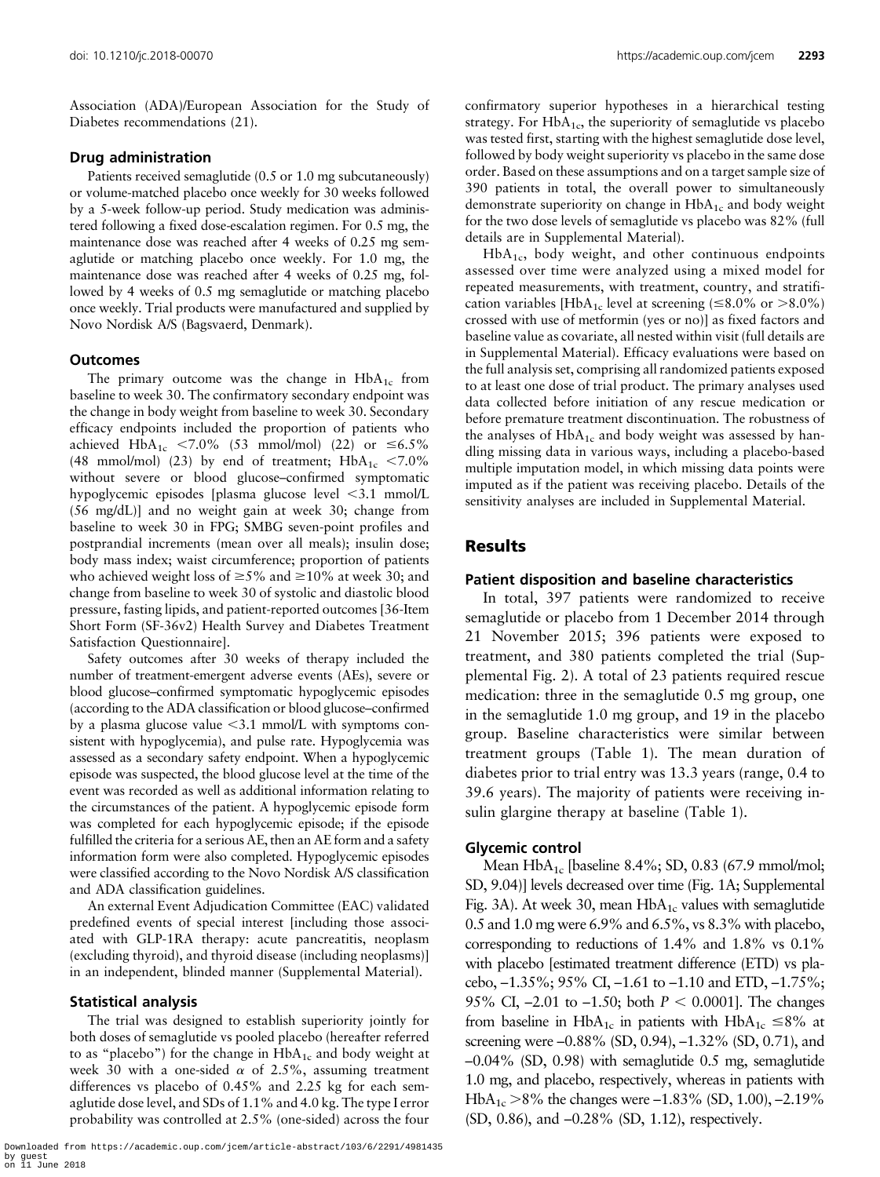Association (ADA)/European Association for the Study of Diabetes recommendations [\(21](#page-10-0)).

## Drug administration

Patients received semaglutide (0.5 or 1.0 mg subcutaneously) or volume-matched placebo once weekly for 30 weeks followed by a 5-week follow-up period. Study medication was administered following a fixed dose-escalation regimen. For 0.5 mg, the maintenance dose was reached after 4 weeks of 0.25 mg semaglutide or matching placebo once weekly. For 1.0 mg, the maintenance dose was reached after 4 weeks of 0.25 mg, followed by 4 weeks of 0.5 mg semaglutide or matching placebo once weekly. Trial products were manufactured and supplied by Novo Nordisk A/S (Bagsvaerd, Denmark).

## **Outcomes**

The primary outcome was the change in  $HbA_{1c}$  from baseline to week 30. The confirmatory secondary endpoint was the change in body weight from baseline to week 30. Secondary efficacy endpoints included the proportion of patients who achieved HbA<sub>1c</sub> <7.0% (53 mmol/mol) ([22\)](#page-10-0) or  $\leq 6.5\%$ (48 mmol/mol) [\(23](#page-10-0)) by end of treatment;  $HbA_{1c}$  <7.0% without severe or blood glucose–confirmed symptomatic hypoglycemic episodes [plasma glucose level  $\leq$ 3.1 mmol/L (56 mg/dL)] and no weight gain at week 30; change from baseline to week 30 in FPG; SMBG seven-point profiles and postprandial increments (mean over all meals); insulin dose; body mass index; waist circumference; proportion of patients who achieved weight loss of  $\geq$ 5% and  $\geq$ 10% at week 30; and change from baseline to week 30 of systolic and diastolic blood pressure, fasting lipids, and patient-reported outcomes [36-Item Short Form (SF-36v2) Health Survey and Diabetes Treatment Satisfaction Questionnaire].

Safety outcomes after 30 weeks of therapy included the number of treatment-emergent adverse events (AEs), severe or blood glucose–confirmed symptomatic hypoglycemic episodes (according to the ADA classification or blood glucose–confirmed by a plasma glucose value  $\leq$ 3.1 mmol/L with symptoms consistent with hypoglycemia), and pulse rate. Hypoglycemia was assessed as a secondary safety endpoint. When a hypoglycemic episode was suspected, the blood glucose level at the time of the event was recorded as well as additional information relating to the circumstances of the patient. A hypoglycemic episode form was completed for each hypoglycemic episode; if the episode fulfilled the criteria for a serious AE, then an AE form and a safety information form were also completed. Hypoglycemic episodes were classified according to the Novo Nordisk A/S classification and ADA classification guidelines.

An external Event Adjudication Committee (EAC) validated predefined events of special interest [including those associated with GLP-1RA therapy: acute pancreatitis, neoplasm (excluding thyroid), and thyroid disease (including neoplasms)] in an independent, blinded manner (Supplemental Material).

#### Statistical analysis

The trial was designed to establish superiority jointly for both doses of semaglutide vs pooled placebo (hereafter referred to as "placebo") for the change in  $HbA_{1c}$  and body weight at week 30 with a one-sided  $\alpha$  of 2.5%, assuming treatment differences vs placebo of 0.45% and 2.25 kg for each semaglutide dose level, and SDs of 1.1% and 4.0 kg. The type I error probability was controlled at 2.5% (one-sided) across the four

confirmatory superior hypotheses in a hierarchical testing strategy. For  $HbA_{1c}$ , the superiority of semaglutide vs placebo was tested first, starting with the highest semaglutide dose level, followed by body weight superiority vs placebo in the same dose order. Based on these assumptions and on a target sample size of 390 patients in total, the overall power to simultaneously demonstrate superiority on change in HbA<sub>1c</sub> and body weight for the two dose levels of semaglutide vs placebo was 82% (full details are in Supplemental Material).

 $HbA_{1c}$ , body weight, and other continuous endpoints assessed over time were analyzed using a mixed model for repeated measurements, with treatment, country, and stratification variables [HbA<sub>1c</sub> level at screening ( $\leq 8.0\%$  or  $> 8.0\%$ ) crossed with use of metformin (yes or no)] as fixed factors and baseline value as covariate, all nested within visit (full details are in Supplemental Material). Efficacy evaluations were based on the full analysis set, comprising all randomized patients exposed to at least one dose of trial product. The primary analyses used data collected before initiation of any rescue medication or before premature treatment discontinuation. The robustness of the analyses of  $HbA_{1c}$  and body weight was assessed by handling missing data in various ways, including a placebo-based multiple imputation model, in which missing data points were imputed as if the patient was receiving placebo. Details of the sensitivity analyses are included in Supplemental Material.

## Results

## Patient disposition and baseline characteristics

In total, 397 patients were randomized to receive semaglutide or placebo from 1 December 2014 through 21 November 2015; 396 patients were exposed to treatment, and 380 patients completed the trial (Supplemental Fig. 2). A total of 23 patients required rescue medication: three in the semaglutide 0.5 mg group, one in the semaglutide 1.0 mg group, and 19 in the placebo group. Baseline characteristics were similar between treatment groups ([Table 1\)](#page-3-0). The mean duration of diabetes prior to trial entry was 13.3 years (range, 0.4 to 39.6 years). The majority of patients were receiving insulin glargine therapy at baseline [\(Table 1](#page-3-0)).

## Glycemic control

Mean  $HbA_{1c}$  [baseline 8.4%; SD, 0.83 (67.9 mmol/mol; SD, 9.04)] levels decreased over time [\(Fig. 1A](#page-4-0); Supplemental Fig. 3A). At week 30, mean  $HbA_{1c}$  values with semaglutide 0.5 and 1.0 mg were 6.9% and 6.5%, vs 8.3% with placebo, corresponding to reductions of 1.4% and 1.8% vs 0.1% with placebo [estimated treatment difference (ETD) vs placebo, –1.35%; 95% CI, –1.61 to –1.10 and ETD, –1.75%; 95% CI,  $-2.01$  to  $-1.50$ ; both  $P < 0.0001$ ]. The changes from baseline in HbA<sub>1c</sub> in patients with HbA<sub>1c</sub>  $\leq 8\%$  at screening were –0.88% (SD, 0.94), –1.32% (SD, 0.71), and –0.04% (SD, 0.98) with semaglutide 0.5 mg, semaglutide 1.0 mg, and placebo, respectively, whereas in patients with  $HbA_{1c} > 8\%$  the changes were  $-1.83\%$  (SD, 1.00),  $-2.19\%$ (SD, 0.86), and –0.28% (SD, 1.12), respectively.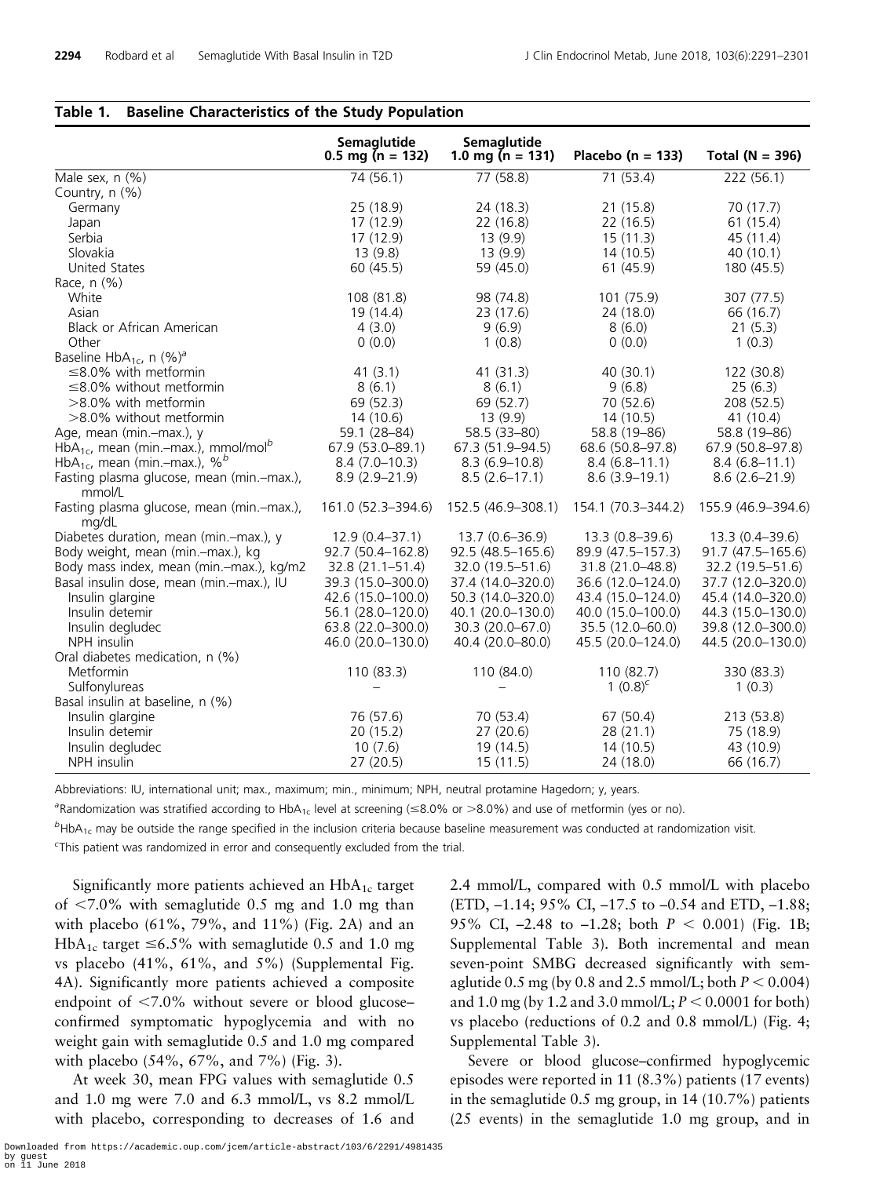## <span id="page-3-0"></span>Table 1. Baseline Characteristics of the Study Population

|                                                             | Semaglutide<br>$0.5$ mg (n = 132) | Semaglutide<br>1.0 mg ( $n = 131$ )                      | Placebo ( $n = 133$ ) | Total ( $N = 396$ )  |  |
|-------------------------------------------------------------|-----------------------------------|----------------------------------------------------------|-----------------------|----------------------|--|
| Male sex, n (%)                                             | 74 (56.1)                         | 77 (58.8)                                                | 71 (53.4)             | 222 (56.1)           |  |
| Country, n (%)                                              |                                   |                                                          |                       |                      |  |
| Germany                                                     | 25 (18.9)                         | 24 (18.3)                                                | 21 (15.8)             | 70 (17.7)            |  |
| Japan                                                       | 17 (12.9)                         | 22 (16.8)                                                | 22 (16.5)             | 61(15.4)             |  |
| Serbia                                                      | 17 (12.9)                         | 13 (9.9)                                                 | 15(11.3)              | 45 (11.4)            |  |
| Slovakia                                                    | 13(9.8)                           | 13(9.9)                                                  | 14(10.5)              | 40(10.1)             |  |
| United States                                               | 60 (45.5)                         | 59 (45.0)                                                | 61 (45.9)             | 180 (45.5)           |  |
| Race, n (%)                                                 |                                   |                                                          |                       |                      |  |
| White                                                       | 108 (81.8)                        | 98 (74.8)                                                | 101 (75.9)            | 307 (77.5)           |  |
| Asian                                                       | 19 (14.4)                         | 23 (17.6)                                                | 24 (18.0)             | 66 (16.7)            |  |
| Black or African American                                   | 4(3.0)                            | 9(6.9)                                                   | 8(6.0)                | 21(5.3)              |  |
| Other                                                       | 0(0.0)                            | 1(0.8)                                                   | 0(0.0)                | 1(0.3)               |  |
| Baseline HbA <sub>1c</sub> , n $(\%)^a$                     |                                   |                                                          |                       |                      |  |
| $\leq$ 8.0% with metformin                                  | 41(3.1)                           | 41(31.3)                                                 | 40(30.1)              | 122 (30.8)           |  |
| $\leq$ 8.0% without metformin                               | 8(6.1)                            | 8(6.1)                                                   | 9(6.8)                | 25(6.3)              |  |
| $>8.0\%$ with metformin                                     | 69(52.3)                          | 69 (52.7)                                                | 70 (52.6)             | 208 (52.5)           |  |
| >8.0% without metformin                                     | 14(10.6)                          | 13 (9.9)                                                 | 14(10.5)              | 41 (10.4)            |  |
| Age, mean (min -max.), y                                    | 59.1 (28-84)                      | 58.5 (33-80)                                             | 58.8 (19-86)          | 58.8 (19-86)         |  |
| HbA <sub>1c</sub> , mean (min.-max.), mmol/mol <sup>b</sup> | 67.9 (53.0-89.1)                  | 67.3 (51.9–94.5)                                         | 68.6 (50.8-97.8)      | 67.9 (50.8–97.8)     |  |
| HbA <sub>1c</sub> , mean (min.-max.), % <sup>b</sup>        | $8.4(7.0-10.3)$                   | $8.3(6.9-10.8)$                                          | $8.4(6.8 - 11.1)$     | $8.4(6.8 - 11.1)$    |  |
| Fasting plasma glucose, mean (min.-max.),                   | $8.9(2.9 - 21.9)$                 | $8.5(2.6-17.1)$                                          | $8.6(3.9-19.1)$       | $8.6(2.6 - 21.9)$    |  |
| mmol/L                                                      |                                   |                                                          |                       |                      |  |
| Fasting plasma glucose, mean (min.-max.),                   |                                   | 161.0 (52.3–394.6) 152.5 (46.9–308.1) 154.1 (70.3–344.2) |                       | 155.9 (46.9-394.6)   |  |
| mg/dL                                                       |                                   |                                                          |                       |                      |  |
| Diabetes duration, mean (min.-max.), y                      | $12.9(0.4 - 37.1)$                | $13.7(0.6 - 36.9)$                                       | $13.3(0.8 - 39.6)$    | 13.3 (0.4-39.6)      |  |
| Body weight, mean (min.-max.), kg                           | 92.7 (50.4-162.8)                 | $92.5(48.5 - 165.6)$                                     | 89.9 (47.5-157.3)     | $91.7(47.5 - 165.6)$ |  |
| Body mass index, mean (min.-max.), kg/m2                    | 32.8 (21.1-51.4)                  | 32.0 (19.5–51.6)                                         | 31.8 (21.0-48.8)      | 32.2 (19.5–51.6)     |  |
| Basal insulin dose, mean (min.-max.), IU                    | 39.3 (15.0-300.0)                 | 37.4 (14.0-320.0)                                        | 36.6 (12.0-124.0)     | 37.7 (12.0-320.0)    |  |
| Insulin glargine                                            | 42.6 (15.0-100.0)                 | 50.3 (14.0-320.0)                                        | 43.4 (15.0-124.0)     | 45.4 (14.0-320.0)    |  |
| Insulin detemir                                             | 56.1 (28.0-120.0)                 | 40.1 (20.0-130.0)                                        | 40.0 (15.0-100.0)     | 44.3 (15.0-130.0)    |  |
| Insulin degludec                                            | 63.8 (22.0-300.0)                 | $30.3(20.0 - 67.0)$                                      | $35.5(12.0 - 60.0)$   | 39.8 (12.0-300.0)    |  |
| NPH insulin                                                 | 46.0 (20.0-130.0)                 | 40.4 (20.0-80.0)                                         | 45.5 (20.0-124.0)     | 44.5 (20.0-130.0)    |  |
| Oral diabetes medication, n (%)                             |                                   |                                                          |                       |                      |  |
| Metformin                                                   | 110 (83.3)                        | 110 (84.0)                                               | 110 (82.7)            | 330 (83.3)           |  |
| Sulfonylureas                                               |                                   |                                                          | 1 $(0.8)^c$           | 1(0.3)               |  |
| Basal insulin at baseline, n (%)                            |                                   |                                                          |                       |                      |  |
| Insulin glargine                                            | 76 (57.6)                         | 70 (53.4)                                                | 67 (50.4)             | 213 (53.8)           |  |
| Insulin detemir                                             | 20(15.2)                          | 27(20.6)                                                 | 28(21.1)              | 75 (18.9)            |  |
| Insulin degludec                                            | 10(7.6)                           | 19 (14.5)                                                | 14(10.5)              | 43 (10.9)            |  |
| NPH insulin                                                 | 27(20.5)                          | 15(11.5)                                                 | 24 (18.0)             | 66 (16.7)            |  |

Abbreviations: IU, international unit; max., maximum; min., minimum; NPH, neutral protamine Hagedorn; y, years.

aRandomization was stratified according to HbA<sub>1c</sub> level at screening ( $\leq 8.0\%$  or  $> 8.0\%$ ) and use of metformin (yes or no).

 $^b$ HbA<sub>1c</sub> may be outside the range specified in the inclusion criteria because baseline measurement was conducted at randomization visit.

<sup>c</sup>This patient was randomized in error and consequently excluded from the trial.

Significantly more patients achieved an  $HbA_{1c}$  target of  $\langle 7.0\%$  with semaglutide 0.5 mg and 1.0 mg than with placebo (61%, 79%, and 11%) ([Fig. 2A](#page-5-0)) and an HbA<sub>1c</sub> target  $\leq 6.5\%$  with semaglutide 0.5 and 1.0 mg vs placebo (41%, 61%, and 5%) (Supplemental Fig. 4A). Significantly more patients achieved a composite endpoint of  $\langle 7.0\%$  without severe or blood glucose– confirmed symptomatic hypoglycemia and with no weight gain with semaglutide 0.5 and 1.0 mg compared with placebo (54%, 67%, and 7%) ([Fig. 3\)](#page-6-0).

At week 30, mean FPG values with semaglutide 0.5 and 1.0 mg were 7.0 and 6.3 mmol/L, vs 8.2 mmol/L with placebo, corresponding to decreases of 1.6 and (ETD, –1.14; 95% CI, –17.5 to –0.54 and ETD, –1.88; 95% CI,  $-2.48$  to  $-1.28$ ; both  $P < 0.001$ ) [\(Fig. 1B;](#page-4-0) Supplemental Table 3). Both incremental and mean seven-point SMBG decreased significantly with semaglutide 0.5 mg (by 0.8 and 2.5 mmol/L; both  $P < 0.004$ ) and 1.0 mg (by 1.2 and 3.0 mmol/L;  $P < 0.0001$  for both) vs placebo (reductions of 0.2 and 0.8 mmol/L) ([Fig. 4;](#page-6-0) Supplemental Table 3).

2.4 mmol/L, compared with 0.5 mmol/L with placebo

Severe or blood glucose–confirmed hypoglycemic episodes were reported in 11 (8.3%) patients (17 events) in the semaglutide 0.5 mg group, in 14 (10.7%) patients (25 events) in the semaglutide 1.0 mg group, and in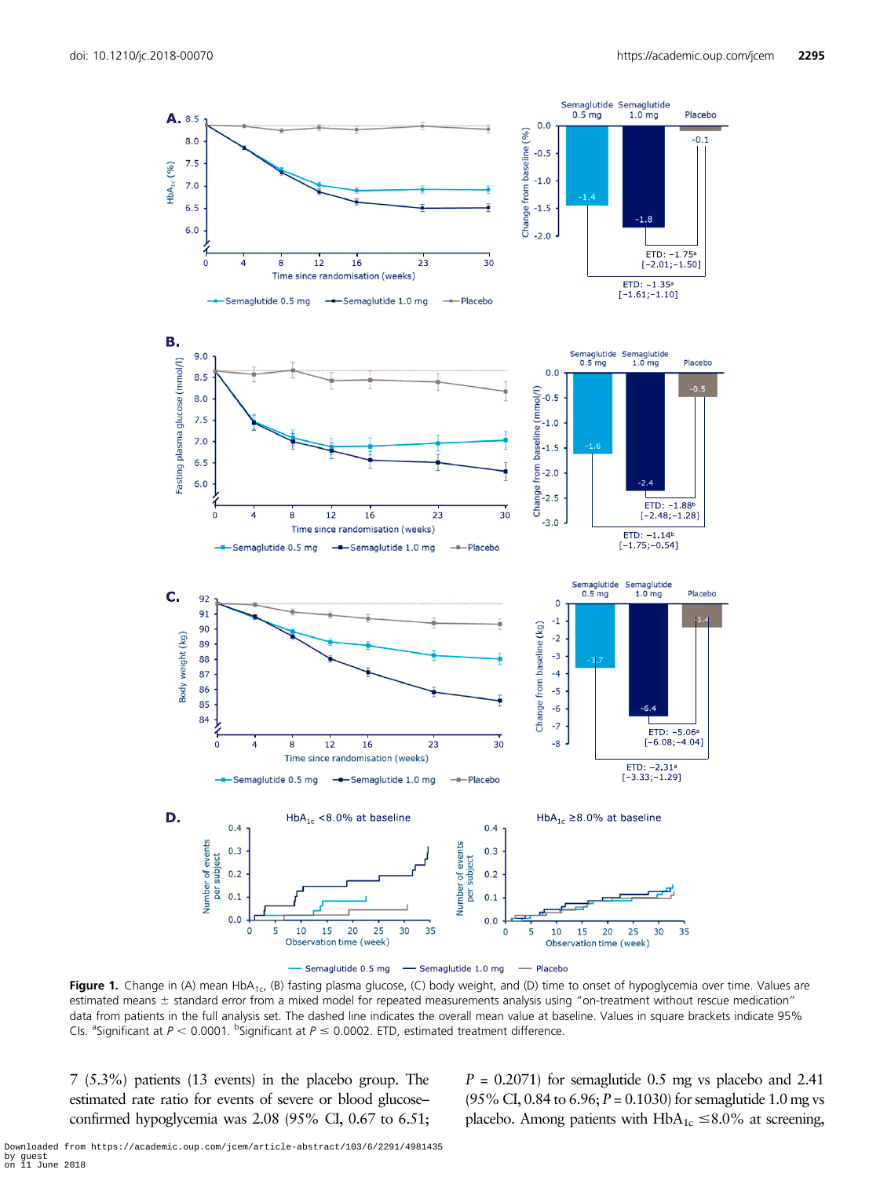<span id="page-4-0"></span>

Figure 1. Change in (A) mean HbA<sub>1c</sub>, (B) fasting plasma glucose, (C) body weight, and (D) time to onset of hypoglycemia over time. Values are estimated means ± standard error from a mixed model for repeated measurements analysis using "on-treatment without rescue medication" data from patients in the full analysis set. The dashed line indicates the overall mean value at baseline. Values in square brackets indicate 95% Cls. <sup>a</sup>Significant at P < 0.0001. <sup>b</sup>Significant at P  $\leq$  0.0002. ETD, estimated treatment difference.

7 (5.3%) patients (13 events) in the placebo group. The estimated rate ratio for events of severe or blood glucose– confirmed hypoglycemia was 2.08 (95% CI, 0.67 to 6.51;

 $P = 0.2071$ ) for semaglutide 0.5 mg vs placebo and 2.41  $(95\% \text{ CI}, 0.84 \text{ to } 6.96; P = 0.1030)$  for semaglutide 1.0 mg vs placebo. Among patients with  $HbA_{1c} \leq 8.0\%$  at screening,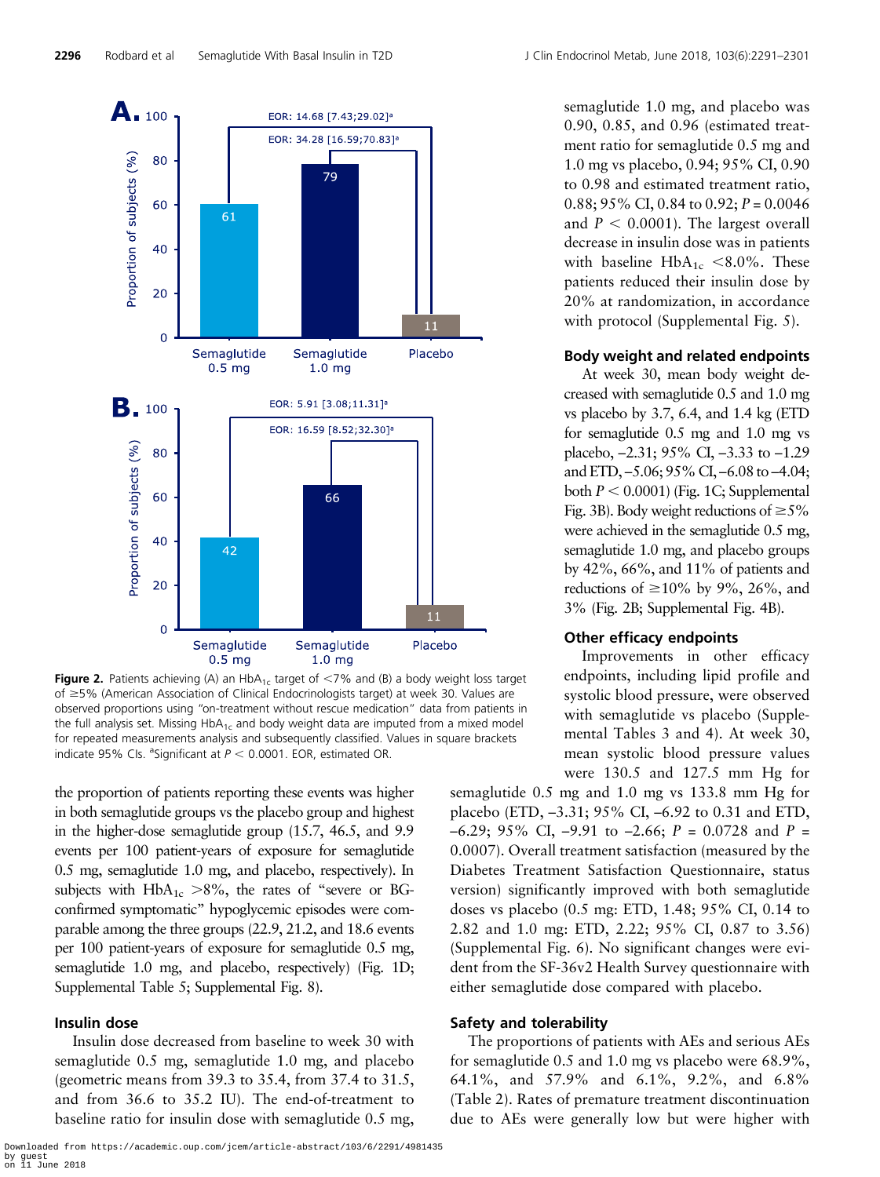<span id="page-5-0"></span>

Figure 2. Patients achieving (A) an HbA<sub>1c</sub> target of <7% and (B) a body weight loss target of ≥5% (American Association of Clinical Endocrinologists target) at week 30. Values are observed proportions using "on-treatment without rescue medication" data from patients in the full analysis set. Missing  $HbA_{1c}$  and body weight data are imputed from a mixed model for repeated measurements analysis and subsequently classified. Values in square brackets indicate 95% Cls. <sup>a</sup> Significant at  $P < 0.0001$ . EOR, estimated OR.

the proportion of patients reporting these events was higher in both semaglutide groups vs the placebo group and highest in the higher-dose semaglutide group (15.7, 46.5, and 9.9 events per 100 patient-years of exposure for semaglutide 0.5 mg, semaglutide 1.0 mg, and placebo, respectively). In subjects with  $HbA_{1c} > 8\%$ , the rates of "severe or BGconfirmed symptomatic" hypoglycemic episodes were comparable among the three groups (22.9, 21.2, and 18.6 events per 100 patient-years of exposure for semaglutide 0.5 mg, semaglutide 1.0 mg, and placebo, respectively) [\(Fig. 1D;](#page-4-0) Supplemental Table 5; Supplemental Fig. 8).

#### Insulin dose

Insulin dose decreased from baseline to week 30 with semaglutide 0.5 mg, semaglutide 1.0 mg, and placebo (geometric means from 39.3 to 35.4, from 37.4 to 31.5, and from 36.6 to 35.2 IU). The end-of-treatment to baseline ratio for insulin dose with semaglutide 0.5 mg,

Downloaded from https://academic.oup.com/jcem/article-abstract/103/6/2291/4981435 by guest on 11 June 2018

semaglutide 1.0 mg, and placebo was 0.90, 0.85, and 0.96 (estimated treatment ratio for semaglutide 0.5 mg and 1.0 mg vs placebo, 0.94; 95% CI, 0.90 to 0.98 and estimated treatment ratio, 0.88; 95% CI, 0.84 to 0.92;  $P = 0.0046$ and  $P < 0.0001$ ). The largest overall decrease in insulin dose was in patients with baseline  $HbA_{1c} < 8.0\%$ . These patients reduced their insulin dose by 20% at randomization, in accordance with protocol (Supplemental Fig. 5).

#### Body weight and related endpoints

At week 30, mean body weight decreased with semaglutide 0.5 and 1.0 mg vs placebo by 3.7, 6.4, and 1.4 kg (ETD for semaglutide 0.5 mg and 1.0 mg vs placebo, –2.31; 95% CI, –3.33 to –1.29 and ETD, –5.06; 95% CI, –6.08 to –4.04; both  $P < 0.0001$ ) [\(Fig. 1C;](#page-4-0) Supplemental Fig. 3B). Body weight reductions of  $\geq 5\%$ were achieved in the semaglutide 0.5 mg, semaglutide 1.0 mg, and placebo groups by 42%, 66%, and 11% of patients and reductions of  $\geq 10\%$  by 9%, 26%, and 3% (Fig. 2B; Supplemental Fig. 4B).

#### Other efficacy endpoints

Improvements in other efficacy endpoints, including lipid profile and systolic blood pressure, were observed with semaglutide vs placebo (Supplemental Tables 3 and 4). At week 30, mean systolic blood pressure values were 130.5 and 127.5 mm Hg for

semaglutide 0.5 mg and 1.0 mg vs 133.8 mm Hg for placebo (ETD, –3.31; 95% CI, –6.92 to 0.31 and ETD,  $-6.29$ ; 95% CI,  $-9.91$  to  $-2.66$ ;  $P = 0.0728$  and  $P =$ 0.0007). Overall treatment satisfaction (measured by the Diabetes Treatment Satisfaction Questionnaire, status version) significantly improved with both semaglutide doses vs placebo (0.5 mg: ETD, 1.48; 95% CI, 0.14 to 2.82 and 1.0 mg: ETD, 2.22; 95% CI, 0.87 to 3.56) (Supplemental Fig. 6). No significant changes were evident from the SF-36v2 Health Survey questionnaire with either semaglutide dose compared with placebo.

#### Safety and tolerability

The proportions of patients with AEs and serious AEs for semaglutide 0.5 and 1.0 mg vs placebo were 68.9%, 64.1%, and 57.9% and 6.1%, 9.2%, and 6.8% ([Table 2\)](#page-7-0). Rates of premature treatment discontinuation due to AEs were generally low but were higher with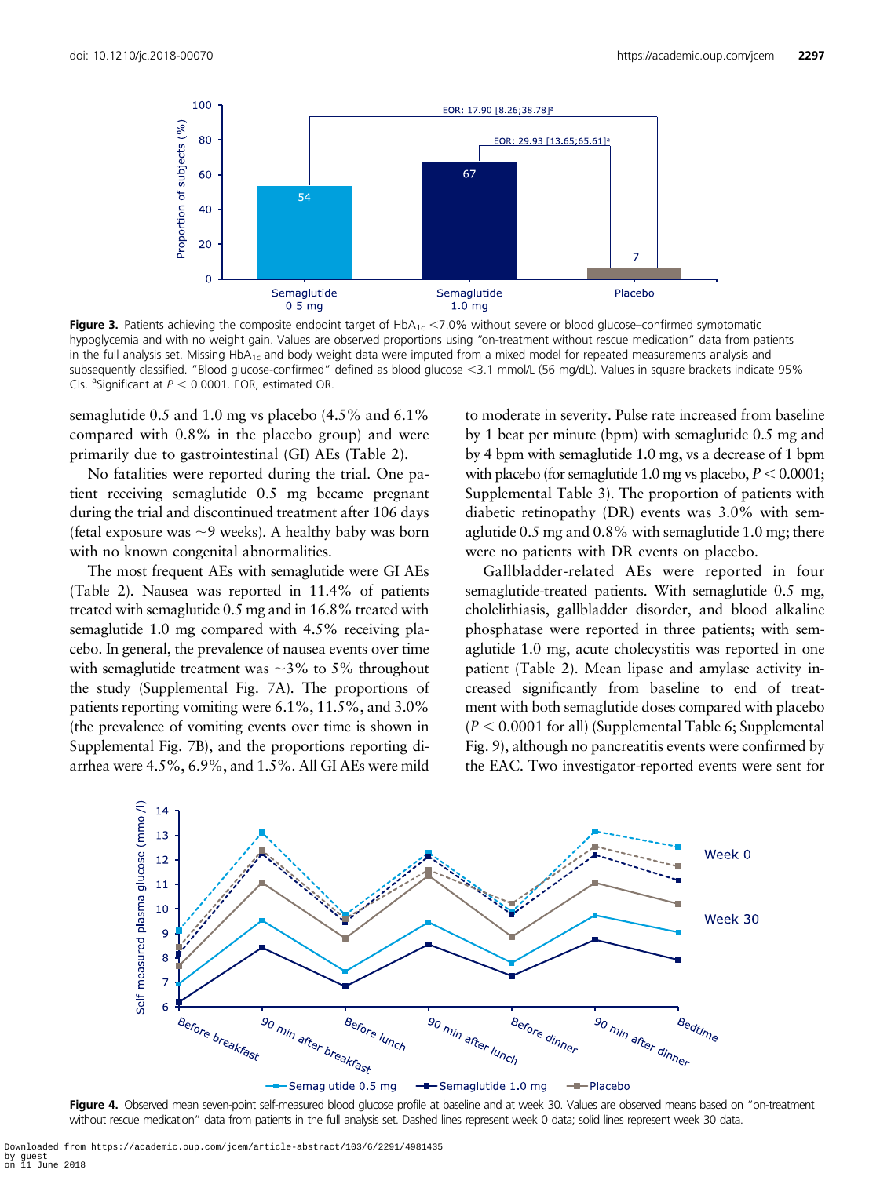<span id="page-6-0"></span>

Figure 3. Patients achieving the composite endpoint target of HbA<sub>1c</sub> <7.0% without severe or blood glucose–confirmed symptomatic hypoglycemia and with no weight gain. Values are observed proportions using "on-treatment without rescue medication" data from patients in the full analysis set. Missing HbA<sub>1c</sub> and body weight data were imputed from a mixed model for repeated measurements analysis and subsequently classified. "Blood glucose-confirmed" defined as blood glucose <3.1 mmol/L (56 mg/dL). Values in square brackets indicate 95% Cls. <sup>a</sup>Significant at  $P < 0.0001$ . EOR, estimated OR.

semaglutide 0.5 and 1.0 mg vs placebo (4.5% and 6.1% compared with 0.8% in the placebo group) and were primarily due to gastrointestinal (GI) AEs ([Table 2\)](#page-7-0).

No fatalities were reported during the trial. One patient receiving semaglutide 0.5 mg became pregnant during the trial and discontinued treatment after 106 days (fetal exposure was  $\sim$ 9 weeks). A healthy baby was born with no known congenital abnormalities.

The most frequent AEs with semaglutide were GI AEs [\(Table 2](#page-7-0)). Nausea was reported in 11.4% of patients treated with semaglutide 0.5 mg and in 16.8% treated with semaglutide 1.0 mg compared with 4.5% receiving placebo. In general, the prevalence of nausea events over time with semaglutide treatment was  $\sim$ 3% to 5% throughout the study (Supplemental Fig. 7A). The proportions of patients reporting vomiting were 6.1%, 11.5%, and 3.0% (the prevalence of vomiting events over time is shown in Supplemental Fig. 7B), and the proportions reporting diarrhea were 4.5%, 6.9%, and 1.5%. All GI AEs were mild to moderate in severity. Pulse rate increased from baseline by 1 beat per minute (bpm) with semaglutide 0.5 mg and by 4 bpm with semaglutide 1.0 mg, vs a decrease of 1 bpm with placebo (for semaglutide 1.0 mg vs placebo,  $P < 0.0001$ ; Supplemental Table 3). The proportion of patients with diabetic retinopathy (DR) events was 3.0% with semaglutide 0.5 mg and 0.8% with semaglutide 1.0 mg; there were no patients with DR events on placebo.

Gallbladder-related AEs were reported in four semaglutide-treated patients. With semaglutide 0.5 mg, cholelithiasis, gallbladder disorder, and blood alkaline phosphatase were reported in three patients; with semaglutide 1.0 mg, acute cholecystitis was reported in one patient [\(Table 2\)](#page-7-0). Mean lipase and amylase activity increased significantly from baseline to end of treatment with both semaglutide doses compared with placebo  $(P < 0.0001$  for all) (Supplemental Table 6; Supplemental Fig. 9), although no pancreatitis events were confirmed by the EAC. Two investigator-reported events were sent for



Figure 4. Observed mean seven-point self-measured blood glucose profile at baseline and at week 30. Values are observed means based on "on-treatment without rescue medication" data from patients in the full analysis set. Dashed lines represent week 0 data; solid lines represent week 30 data.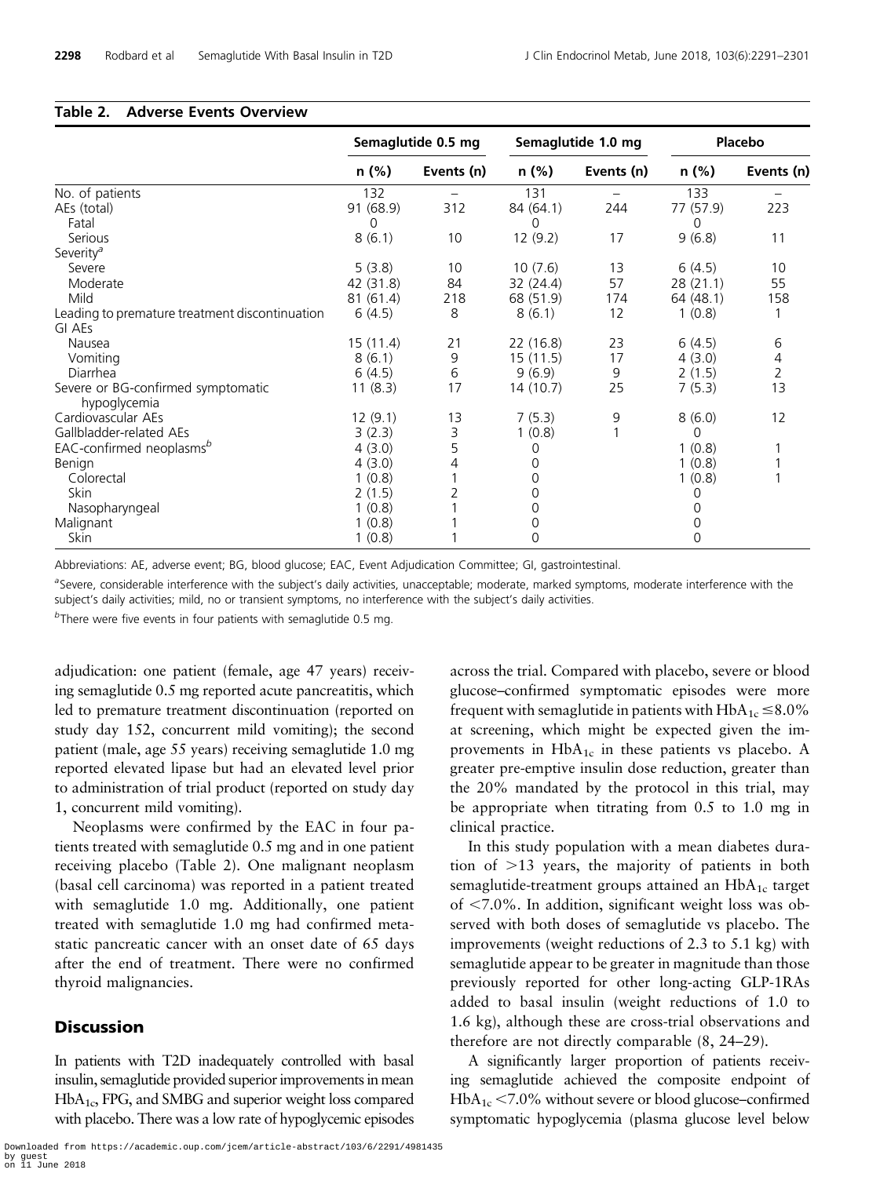<span id="page-7-0"></span>

|                                                | Semaglutide 0.5 mg |                | Semaglutide 1.0 mg |            | Placebo   |               |
|------------------------------------------------|--------------------|----------------|--------------------|------------|-----------|---------------|
|                                                | n (%)              | Events (n)     | n (%)              | Events (n) | n (%)     | Events (n)    |
| No. of patients                                | 132                |                | 131                |            | 133       |               |
| AEs (total)                                    | 91 (68.9)          | 312            | 84 (64.1)          | 244        | 77 (57.9) | 223           |
| Fatal                                          | 0                  |                | 0                  |            | 0         |               |
| Serious                                        | 8(6.1)             | 10             | 12(9.2)            | 17         | 9(6.8)    | 11            |
| Severity <sup>a</sup>                          |                    |                |                    |            |           |               |
| Severe                                         | 5(3.8)             | 10             | 10(7.6)            | 13         | 6(4.5)    | 10            |
| Moderate                                       | 42 (31.8)          | 84             | 32(24.4)           | 57         | 28(21.1)  | 55            |
| Mild                                           | 81(61.4)           | 218            | 68 (51.9)          | 174        | 64 (48.1) | 158           |
| Leading to premature treatment discontinuation | 6(4.5)             | 8              | 8(6.1)             | 12         | 1(0.8)    |               |
| GI AEs                                         |                    |                |                    |            |           |               |
| Nausea                                         | 15(11.4)           | 21             | 22 (16.8)          | 23         | 6(4.5)    | 6             |
| Vomiting                                       | 8(6.1)             | 9              | 15(11.5)           | 17         | 4(3.0)    | $\frac{4}{2}$ |
| Diarrhea                                       | 6(4.5)             | 6              | 9(6.9)             | 9          | 2(1.5)    |               |
| Severe or BG-confirmed symptomatic             | 11(8.3)            | 17             | 14(10.7)           | 25         | 7(5.3)    | 13            |
| hypoglycemia                                   |                    |                |                    |            |           |               |
| Cardiovascular AEs                             | 12(9.1)            | 13             | 7(5.3)             | 9          | 8(6.0)    | 12            |
| Gallbladder-related AEs                        | 3(2.3)             | 3              | 1(0.8)             |            | $\Omega$  |               |
| EAC-confirmed neoplasms <sup>b</sup>           | 4(3.0)             | 5              | 0                  |            | 1(0.8)    |               |
| Benign                                         | 4(3.0)             | 4              | 0                  |            | 1(0.8)    |               |
| Colorectal                                     | 1(0.8)             |                | 0                  |            | 1(0.8)    |               |
| <b>Skin</b>                                    | 2(1.5)             | $\overline{2}$ | 0                  |            | 0         |               |
| Nasopharyngeal                                 | 1(0.8)             |                | 0                  |            | 0         |               |
| Malignant                                      | 1(0.8)             |                | 0                  |            | 0         |               |
| Skin                                           | 1(0.8)             |                | 0                  |            | 0         |               |

Abbreviations: AE, adverse event; BG, blood glucose; EAC, Event Adjudication Committee; GI, gastrointestinal.

<sup>a</sup>Severe, considerable interference with the subject's daily activities, unacceptable; moderate, marked symptoms, moderate interference with the subject's daily activities; mild, no or transient symptoms, no interference with the subject's daily activities.

 $b$ There were five events in four patients with semaglutide 0.5 mg.

adjudication: one patient (female, age 47 years) receiving semaglutide 0.5 mg reported acute pancreatitis, which led to premature treatment discontinuation (reported on study day 152, concurrent mild vomiting); the second patient (male, age 55 years) receiving semaglutide 1.0 mg reported elevated lipase but had an elevated level prior to administration of trial product (reported on study day 1, concurrent mild vomiting).

Neoplasms were confirmed by the EAC in four patients treated with semaglutide 0.5 mg and in one patient receiving placebo (Table 2). One malignant neoplasm (basal cell carcinoma) was reported in a patient treated with semaglutide 1.0 mg. Additionally, one patient treated with semaglutide 1.0 mg had confirmed metastatic pancreatic cancer with an onset date of 65 days after the end of treatment. There were no confirmed thyroid malignancies.

## **Discussion**

In patients with T2D inadequately controlled with basal insulin, semaglutide provided superior improvements in mean  $HbA_{1c}$ , FPG, and SMBG and superior weight loss compared with placebo. There was a low rate of hypoglycemic episodes

Downloaded from https://academic.oup.com/jcem/article-abstract/103/6/2291/4981435 by guest on 11 June 2018

across the trial. Compared with placebo, severe or blood glucose–confirmed symptomatic episodes were more frequent with semaglutide in patients with  $HbA_{1c} \leq 8.0\%$ at screening, which might be expected given the improvements in  $HbA_{1c}$  in these patients vs placebo. A greater pre-emptive insulin dose reduction, greater than the 20% mandated by the protocol in this trial, may be appropriate when titrating from 0.5 to 1.0 mg in clinical practice.

In this study population with a mean diabetes duration of  $>13$  years, the majority of patients in both semaglutide-treatment groups attained an  $HbA_{1c}$  target of  $<$  7.0%. In addition, significant weight loss was observed with both doses of semaglutide vs placebo. The improvements (weight reductions of 2.3 to 5.1 kg) with semaglutide appear to be greater in magnitude than those previously reported for other long-acting GLP-1RAs added to basal insulin (weight reductions of 1.0 to 1.6 kg), although these are cross-trial observations and therefore are not directly comparable ([8](#page-9-0), [24](#page-10-0)–[29](#page-10-0)).

A significantly larger proportion of patients receiving semaglutide achieved the composite endpoint of  $HbA_{1c}$  <7.0% without severe or blood glucose–confirmed symptomatic hypoglycemia (plasma glucose level below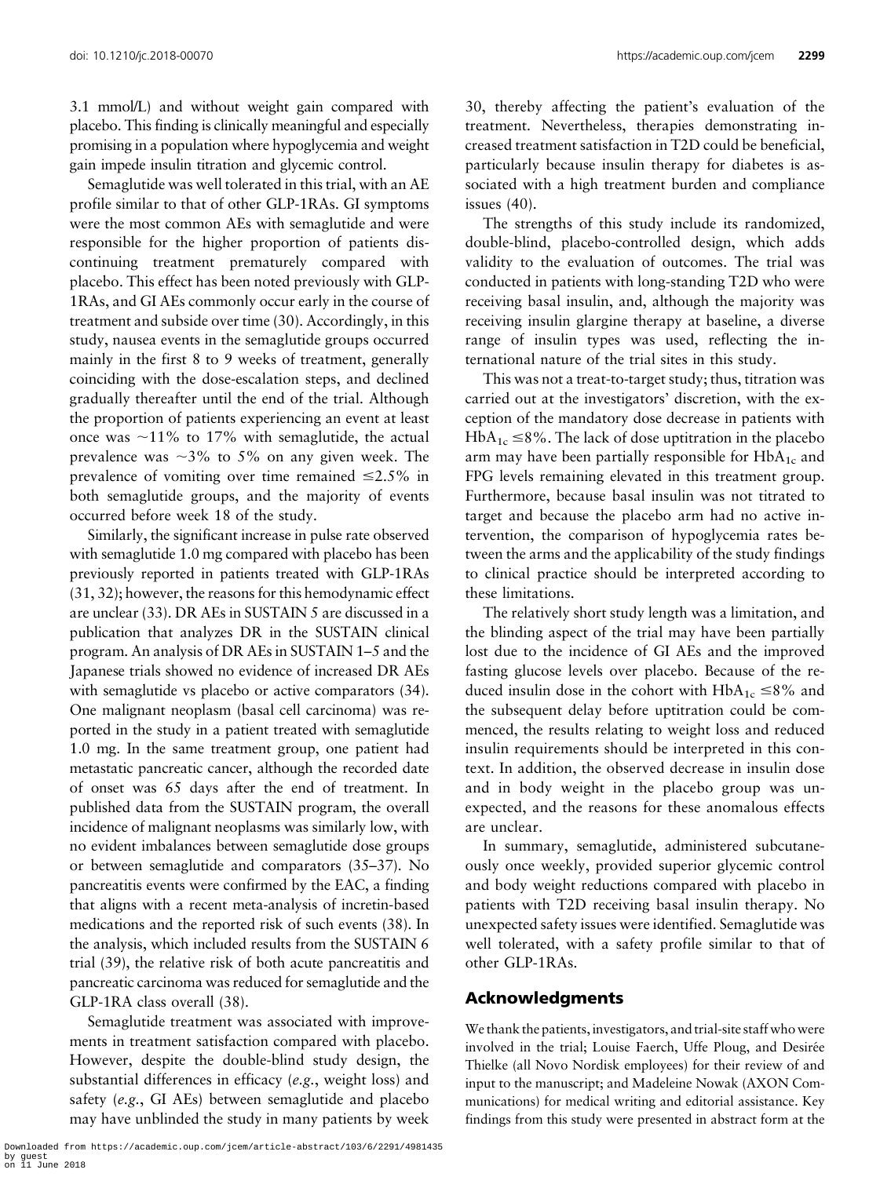3.1 mmol/L) and without weight gain compared with placebo. This finding is clinically meaningful and especially promising in a population where hypoglycemia and weight gain impede insulin titration and glycemic control.

Semaglutide was well tolerated in this trial, with an AE profile similar to that of other GLP-1RAs. GI symptoms were the most common AEs with semaglutide and were responsible for the higher proportion of patients discontinuing treatment prematurely compared with placebo. This effect has been noted previously with GLP-1RAs, and GI AEs commonly occur early in the course of treatment and subside over time ([30\)](#page-10-0). Accordingly, in this study, nausea events in the semaglutide groups occurred mainly in the first 8 to 9 weeks of treatment, generally coinciding with the dose-escalation steps, and declined gradually thereafter until the end of the trial. Although the proportion of patients experiencing an event at least once was  $\sim$ 11% to 17% with semaglutide, the actual prevalence was  $\sim$ 3% to 5% on any given week. The prevalence of vomiting over time remained  $\leq 2.5\%$  in both semaglutide groups, and the majority of events occurred before week 18 of the study.

Similarly, the significant increase in pulse rate observed with semaglutide 1.0 mg compared with placebo has been previously reported in patients treated with GLP-1RAs [\(31](#page-10-0), [32\)](#page-10-0); however, the reasons for this hemodynamic effect are unclear ([33](#page-10-0)). DR AEs in SUSTAIN 5 are discussed in a publication that analyzes DR in the SUSTAIN clinical program. An analysis of DR AEs in SUSTAIN 1–5 and the Japanese trials showed no evidence of increased DR AEs with semaglutide vs placebo or active comparators ([34\)](#page-10-0). One malignant neoplasm (basal cell carcinoma) was reported in the study in a patient treated with semaglutide 1.0 mg. In the same treatment group, one patient had metastatic pancreatic cancer, although the recorded date of onset was 65 days after the end of treatment. In published data from the SUSTAIN program, the overall incidence of malignant neoplasms was similarly low, with no evident imbalances between semaglutide dose groups or between semaglutide and comparators ([35](#page-10-0)–[37](#page-10-0)). No pancreatitis events were confirmed by the EAC, a finding that aligns with a recent meta-analysis of incretin-based medications and the reported risk of such events [\(38\)](#page-10-0). In the analysis, which included results from the SUSTAIN 6 trial ([39\)](#page-10-0), the relative risk of both acute pancreatitis and pancreatic carcinoma was reduced for semaglutide and the GLP-1RA class overall ([38\)](#page-10-0).

Semaglutide treatment was associated with improvements in treatment satisfaction compared with placebo. However, despite the double-blind study design, the substantial differences in efficacy (e.g., weight loss) and safety (e.g., GI AEs) between semaglutide and placebo may have unblinded the study in many patients by week

30, thereby affecting the patient's evaluation of the treatment. Nevertheless, therapies demonstrating increased treatment satisfaction in T2D could be beneficial, particularly because insulin therapy for diabetes is associated with a high treatment burden and compliance issues ([40\)](#page-10-0).

The strengths of this study include its randomized, double-blind, placebo-controlled design, which adds validity to the evaluation of outcomes. The trial was conducted in patients with long-standing T2D who were receiving basal insulin, and, although the majority was receiving insulin glargine therapy at baseline, a diverse range of insulin types was used, reflecting the international nature of the trial sites in this study.

This was not a treat-to-target study; thus, titration was carried out at the investigators' discretion, with the exception of the mandatory dose decrease in patients with  $HbA_{1c} \leq 8\%$ . The lack of dose uptitration in the placebo arm may have been partially responsible for  $HbA_{1c}$  and FPG levels remaining elevated in this treatment group. Furthermore, because basal insulin was not titrated to target and because the placebo arm had no active intervention, the comparison of hypoglycemia rates between the arms and the applicability of the study findings to clinical practice should be interpreted according to these limitations.

The relatively short study length was a limitation, and the blinding aspect of the trial may have been partially lost due to the incidence of GI AEs and the improved fasting glucose levels over placebo. Because of the reduced insulin dose in the cohort with  $HbA_{1c} \leq 8\%$  and the subsequent delay before uptitration could be commenced, the results relating to weight loss and reduced insulin requirements should be interpreted in this context. In addition, the observed decrease in insulin dose and in body weight in the placebo group was unexpected, and the reasons for these anomalous effects are unclear.

In summary, semaglutide, administered subcutaneously once weekly, provided superior glycemic control and body weight reductions compared with placebo in patients with T2D receiving basal insulin therapy. No unexpected safety issues were identified. Semaglutide was well tolerated, with a safety profile similar to that of other GLP-1RAs.

# Acknowledgments

We thank the patients, investigators, and trial-site staff who were involved in the trial; Louise Faerch, Uffe Ploug, and Desirée Thielke (all Novo Nordisk employees) for their review of and input to the manuscript; and Madeleine Nowak (AXON Communications) for medical writing and editorial assistance. Key findings from this study were presented in abstract form at the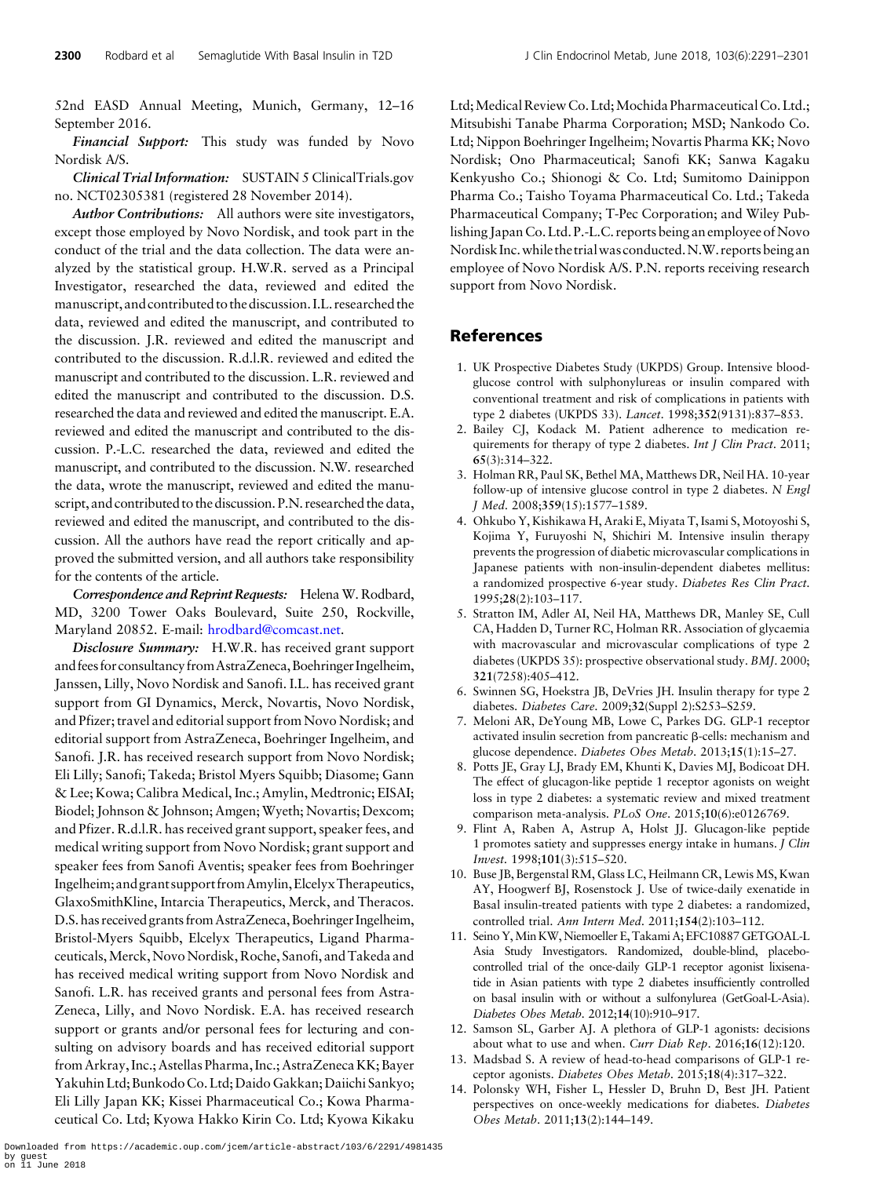<span id="page-9-0"></span>52nd EASD Annual Meeting, Munich, Germany, 12–16 September 2016.

Financial Support: This study was funded by Novo Nordisk A/S.

Clinical Trial Information: SUSTAIN 5 ClinicalTrials.gov no. NCT02305381 (registered 28 November 2014).

**Author Contributions:** All authors were site investigators, except those employed by Novo Nordisk, and took part in the conduct of the trial and the data collection. The data were analyzed by the statistical group. H.W.R. served as a Principal Investigator, researched the data, reviewed and edited the manuscript, and contributed to the discussion. I.L. researched the data, reviewed and edited the manuscript, and contributed to the discussion. J.R. reviewed and edited the manuscript and contributed to the discussion. R.d.l.R. reviewed and edited the manuscript and contributed to the discussion. L.R. reviewed and edited the manuscript and contributed to the discussion. D.S. researched the data and reviewed and edited the manuscript. E.A. reviewed and edited the manuscript and contributed to the discussion. P.-L.C. researched the data, reviewed and edited the manuscript, and contributed to the discussion. N.W. researched the data, wrote the manuscript, reviewed and edited the manuscript, and contributed to the discussion. P.N. researched the data, reviewed and edited the manuscript, and contributed to the discussion. All the authors have read the report critically and approved the submitted version, and all authors take responsibility for the contents of the article.

Correspondence and Reprint Requests: Helena W. Rodbard, MD, 3200 Tower Oaks Boulevard, Suite 250, Rockville, Maryland 20852. E-mail: [hrodbard@comcast.net.](mailto:hrodbard@comcast.net)

Disclosure Summary: H.W.R. has received grant support and fees for consultancy from AstraZeneca, Boehringer Ingelheim, Janssen, Lilly, Novo Nordisk and Sanofi. I.L. has received grant support from GI Dynamics, Merck, Novartis, Novo Nordisk, and Pfizer; travel and editorial support from Novo Nordisk; and editorial support from AstraZeneca, Boehringer Ingelheim, and Sanofi. J.R. has received research support from Novo Nordisk; Eli Lilly; Sanofi; Takeda; Bristol Myers Squibb; Diasome; Gann & Lee; Kowa; Calibra Medical, Inc.; Amylin, Medtronic; EISAI; Biodel; Johnson & Johnson; Amgen; Wyeth; Novartis; Dexcom; and Pfizer. R.d.l.R. has received grant support, speaker fees, and medical writing support from Novo Nordisk; grant support and speaker fees from Sanofi Aventis; speaker fees from Boehringer Ingelheim; and grant support fromAmylin,ElcelyxTherapeutics, GlaxoSmithKline, Intarcia Therapeutics, Merck, and Theracos. D.S. has received grants from AstraZeneca, Boehringer Ingelheim, Bristol-Myers Squibb, Elcelyx Therapeutics, Ligand Pharmaceuticals,Merck, Novo Nordisk, Roche, Sanofi, and Takeda and has received medical writing support from Novo Nordisk and Sanofi. L.R. has received grants and personal fees from Astra-Zeneca, Lilly, and Novo Nordisk. E.A. has received research support or grants and/or personal fees for lecturing and consulting on advisory boards and has received editorial support from Arkray, Inc.; Astellas Pharma, Inc.; AstraZeneca KK; Bayer Yakuhin Ltd; Bunkodo Co. Ltd; Daido Gakkan; Daiichi Sankyo; Eli Lilly Japan KK; Kissei Pharmaceutical Co.; Kowa Pharmaceutical Co. Ltd; Kyowa Hakko Kirin Co. Ltd; Kyowa Kikaku

Ltd; Medical Review Co. Ltd; Mochida Pharmaceutical Co. Ltd.; Mitsubishi Tanabe Pharma Corporation; MSD; Nankodo Co. Ltd; Nippon Boehringer Ingelheim; Novartis Pharma KK; Novo Nordisk; Ono Pharmaceutical; Sanofi KK; Sanwa Kagaku Kenkyusho Co.; Shionogi & Co. Ltd; Sumitomo Dainippon Pharma Co.; Taisho Toyama Pharmaceutical Co. Ltd.; Takeda Pharmaceutical Company; T-Pec Corporation; and Wiley Publishing Japan Co. Ltd. P.-L.C. reports being an employee of Novo Nordisk Inc.while the trialwas conducted.N.W. reports being an employee of Novo Nordisk A/S. P.N. reports receiving research support from Novo Nordisk.

## References

- 1. UK Prospective Diabetes Study (UKPDS) Group. Intensive bloodglucose control with sulphonylureas or insulin compared with conventional treatment and risk of complications in patients with type 2 diabetes (UKPDS 33). Lancet. 1998;352(9131):837–853.
- 2. Bailey CJ, Kodack M. Patient adherence to medication requirements for therapy of type 2 diabetes. Int J Clin Pract. 2011; 65(3):314–322.
- 3. Holman RR, Paul SK, Bethel MA, Matthews DR, Neil HA. 10-year follow-up of intensive glucose control in type 2 diabetes. N Engl J Med. 2008;359(15):1577–1589.
- 4. Ohkubo Y, Kishikawa H, Araki E, Miyata T, Isami S, Motoyoshi S, Kojima Y, Furuyoshi N, Shichiri M. Intensive insulin therapy prevents the progression of diabetic microvascular complications in Japanese patients with non-insulin-dependent diabetes mellitus: a randomized prospective 6-year study. Diabetes Res Clin Pract. 1995;28(2):103–117.
- 5. Stratton IM, Adler AI, Neil HA, Matthews DR, Manley SE, Cull CA, Hadden D, Turner RC, Holman RR. Association of glycaemia with macrovascular and microvascular complications of type 2 diabetes (UKPDS 35): prospective observational study. BMJ. 2000; 321(7258):405–412.
- 6. Swinnen SG, Hoekstra JB, DeVries JH. Insulin therapy for type 2 diabetes. Diabetes Care. 2009;32(Suppl 2):S253–S259.
- 7. Meloni AR, DeYoung MB, Lowe C, Parkes DG. GLP-1 receptor activated insulin secretion from pancreatic  $\beta$ -cells: mechanism and glucose dependence. Diabetes Obes Metab. 2013;15(1):15–27.
- 8. Potts JE, Gray LJ, Brady EM, Khunti K, Davies MJ, Bodicoat DH. The effect of glucagon-like peptide 1 receptor agonists on weight loss in type 2 diabetes: a systematic review and mixed treatment comparison meta-analysis. PLoS One. 2015;10(6):e0126769.
- 9. Flint A, Raben A, Astrup A, Holst JJ. Glucagon-like peptide 1 promotes satiety and suppresses energy intake in humans. J Clin Invest. 1998;101(3):515–520.
- 10. Buse JB, Bergenstal RM, Glass LC, Heilmann CR, Lewis MS, Kwan AY, Hoogwerf BJ, Rosenstock J. Use of twice-daily exenatide in Basal insulin-treated patients with type 2 diabetes: a randomized, controlled trial. Ann Intern Med. 2011;154(2):103–112.
- 11. Seino Y,Min KW, Niemoeller E, Takami A; EFC10887 GETGOAL-L Asia Study Investigators. Randomized, double-blind, placebocontrolled trial of the once-daily GLP-1 receptor agonist lixisenatide in Asian patients with type 2 diabetes insufficiently controlled on basal insulin with or without a sulfonylurea (GetGoal-L-Asia). Diabetes Obes Metab. 2012;14(10):910–917.
- 12. Samson SL, Garber AJ. A plethora of GLP-1 agonists: decisions about what to use and when. Curr Diab Rep. 2016;16(12):120.
- 13. Madsbad S. A review of head-to-head comparisons of GLP-1 receptor agonists. Diabetes Obes Metab. 2015;18(4):317–322.
- 14. Polonsky WH, Fisher L, Hessler D, Bruhn D, Best JH. Patient perspectives on once-weekly medications for diabetes. Diabetes Obes Metab. 2011;13(2):144–149.

Downloaded from https://academic.oup.com/jcem/article-abstract/103/6/2291/4981435 by guest on 11 June 2018